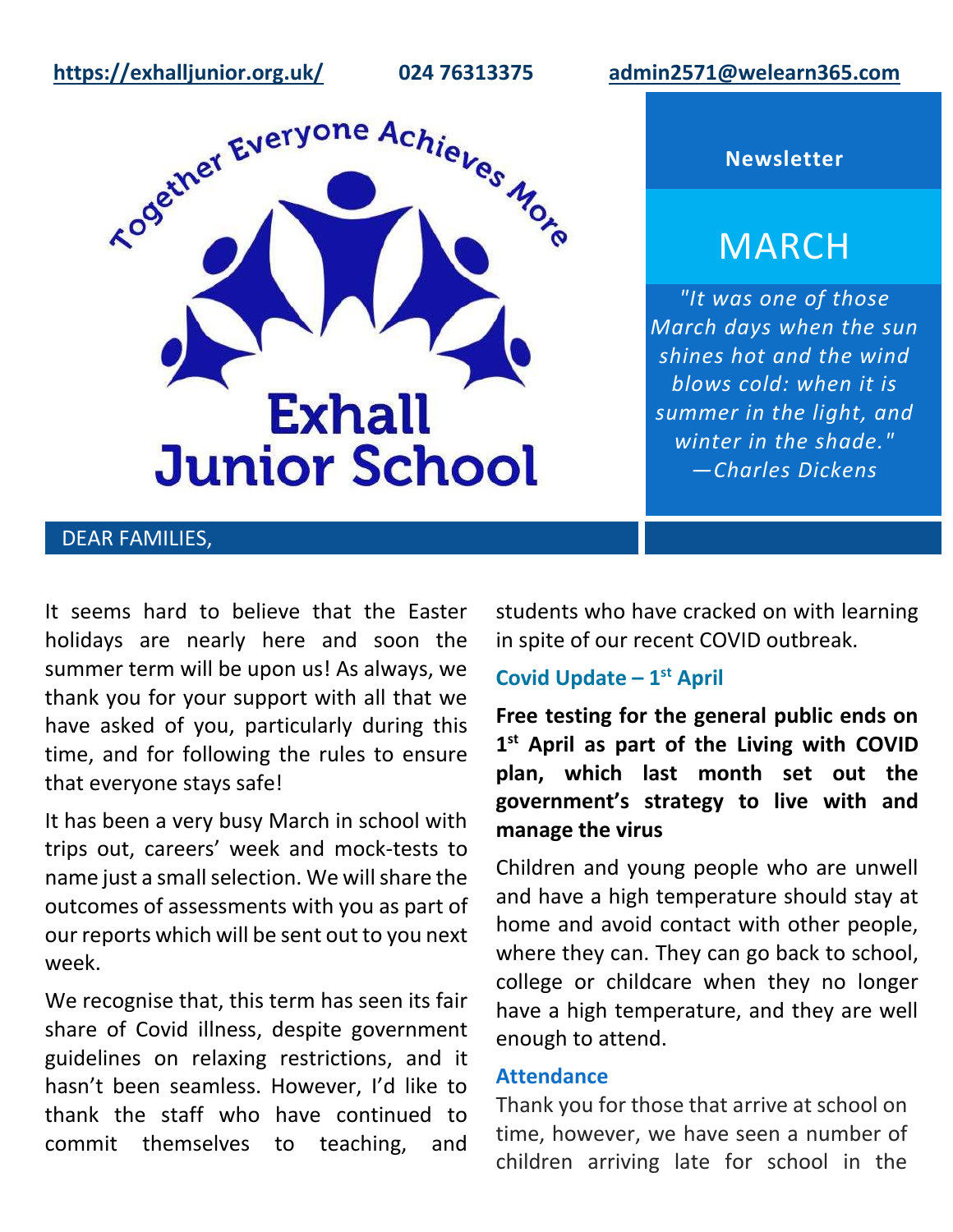**<https://exhalljunior.org.uk/>024 76313375 [admin2571@welearn365.com](mailto:admin2571@welearn365.com)**



**Newsletter**

# **MARCH**

*"It was one of those March days when the sun shines hot and the wind blows cold: when it is summer in the light, and winter in the shade." ―Charles Dickens*

## DEAR FAMILIES,

It seems hard to believe that the Easter holidays are nearly here and soon the summer term will be upon us! As always, we thank you for your support with all that we have asked of you, particularly during this time, and for following the rules to ensure that everyone stays safe!

It has been a very busy March in school with trips out, careers' week and mock-tests to name just a small selection. We will share the outcomes of assessments with you as part of our reports which will be sent out to you next week.

We recognise that, this term has seen its fair share of Covid illness, despite government guidelines on relaxing restrictions, and it hasn't been seamless. However, I'd like to thank the staff who have continued to commit themselves to teaching, and students who have cracked on with learning in spite of our recent COVID outbreak.

### **Covid Update – 1 st April**

**Free testing for the general public ends on 1 st April as part of the Living with COVID plan, which last month set out the government's strategy to live with and manage the virus**

Children and young people who are unwell and have a high temperature should stay at home and avoid contact with other people, where they can. They can go back to school, college or childcare when they no longer have a high temperature, and they are well enough to attend.

#### **Attendance**

Thank you for those that arrive at school on time, however, we have seen a number of children arriving late for school in the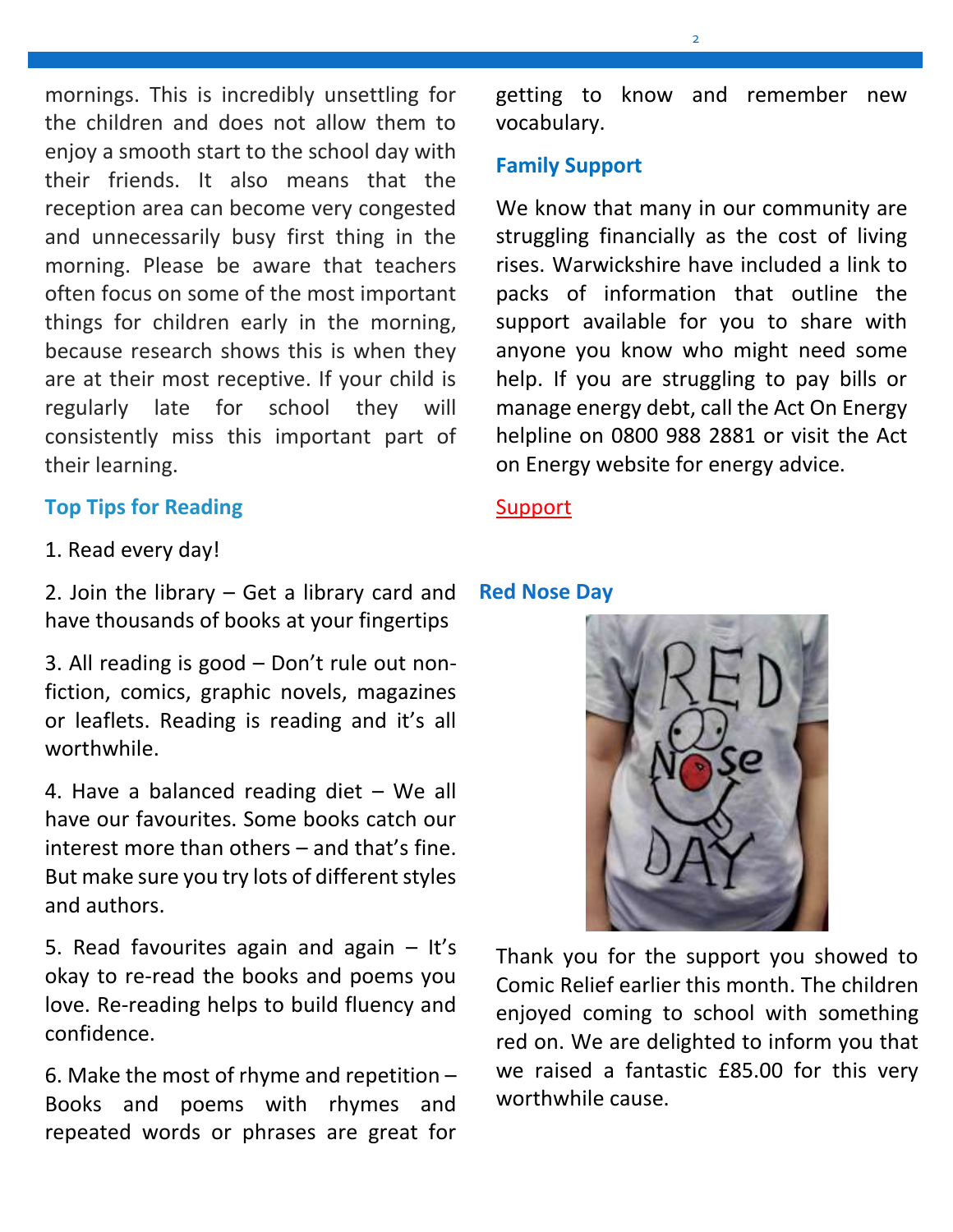mornings. This is incredibly unsettling for the children and does not allow them to enjoy a smooth start to the school day with their friends. It also means that the reception area can become very congested and unnecessarily busy first thing in the morning. Please be aware that teachers often focus on some of the most important things for children early in the morning, because research shows this is when they are at their most receptive. If your child is regularly late for school they will consistently miss this important part of their learning.

### **Top Tips for Reading**

1. Read every day!

2. Join the library – Get a library card and **Red Nose Day** have thousands of books at your fingertips

3. All reading is good – Don't rule out nonfiction, comics, graphic novels, magazines or leaflets. Reading is reading and it's all worthwhile.

4. Have a balanced reading diet – We all have our favourites. Some books catch our interest more than others – and that's fine. But make sure you try lots of different styles and authors.

5. Read favourites again and again – It's okay to re-read the books and poems you love. Re-reading helps to build fluency and confidence.

6. Make the most of rhyme and repetition – Books and poems with rhymes and repeated words or phrases are great for getting to know and remember new vocabulary.

### **Family Support**

We know that many in our community are struggling financially as the cost of living rises. Warwickshire have included a link to packs of information that outline the support available for you to share with anyone you know who might need some help. If you are struggling to pay bills or manage energy debt, call the Act On Energy helpline on 0800 988 2881 or visit the Act on Energy website for energy advice.

#### **[Support](https://headsup.warwickshire.gov.uk/assets/1/facing_hardship_content_pack_.docx)**



Thank you for the support you showed to Comic Relief earlier this month. The children enjoyed coming to school with something red on. We are delighted to inform you that we raised a fantastic £85.00 for this very worthwhile cause.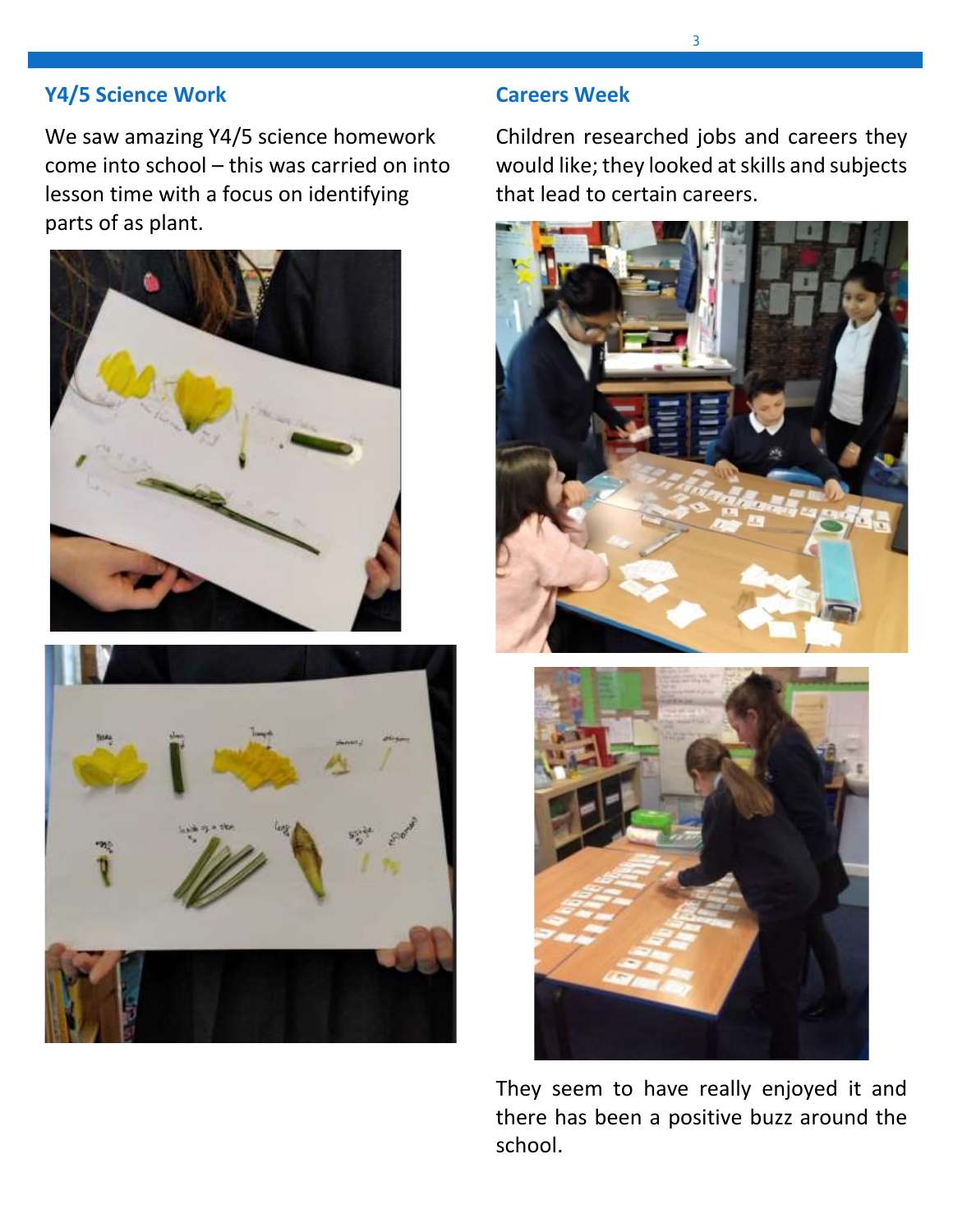### **Y4/5 Science Work**

We saw amazing Y4/5 science homework come into school – this was carried on into lesson time with a focus on identifying parts of as plant.





### **Careers Week**

Children researched jobs and careers they would like; they looked at skills and subjects that lead to certain careers.





They seem to have really enjoyed it and there has been a positive buzz around the school.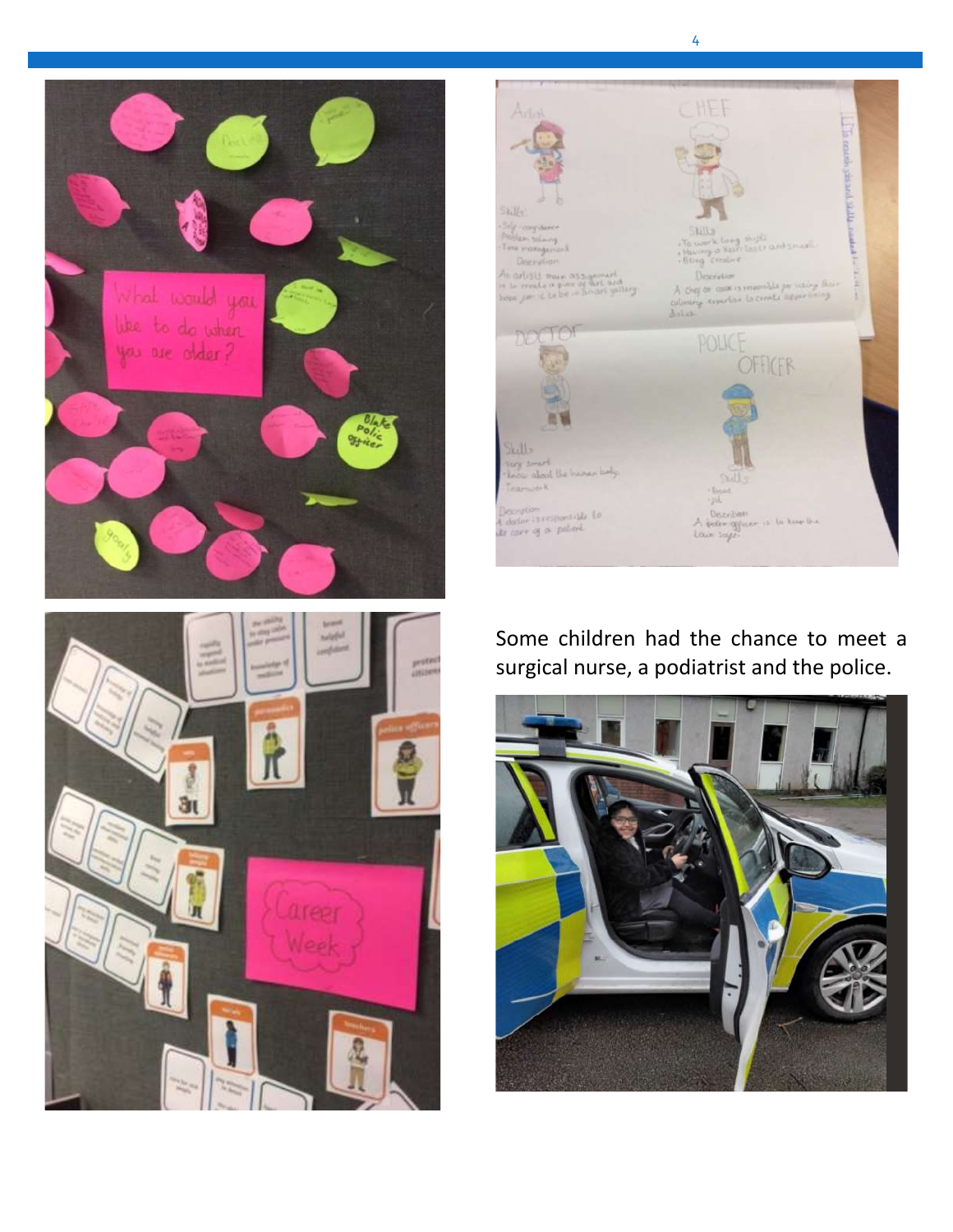



4

# Some children had the chance to meet a surgical nurse, a podiatrist and the police.



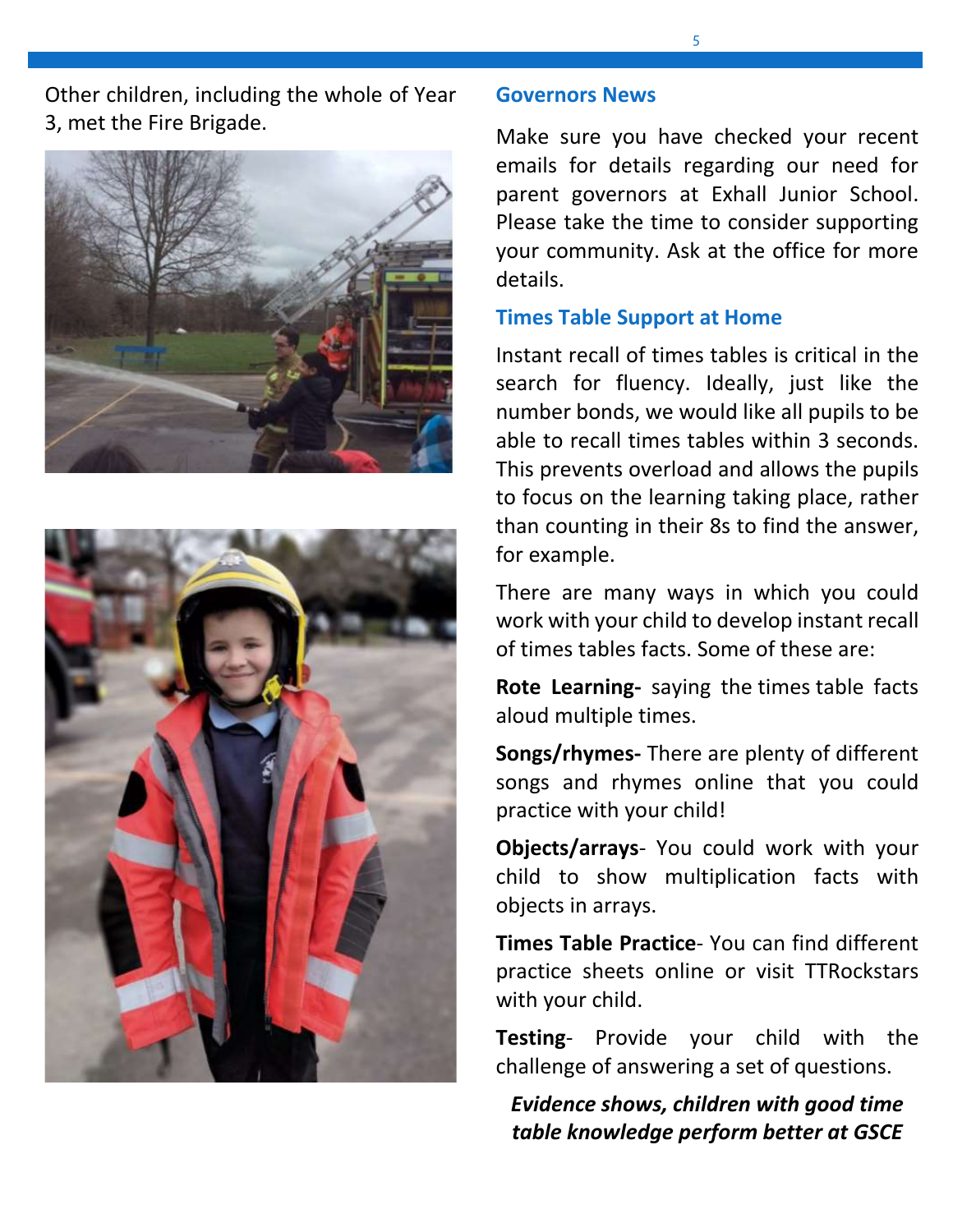Other children, including the whole of Year 3, met the Fire Brigade.





#### **Governors News**

Make sure you have checked your recent emails for details regarding our need for parent governors at Exhall Junior School. Please take the time to consider supporting your community. Ask at the office for more details.

#### **Times Table Support at Home**

Instant recall of times tables is critical in the search for fluency. Ideally, just like the number bonds, we would like all pupils to be able to recall times tables within 3 seconds. This prevents overload and allows the pupils to focus on the learning taking place, rather than counting in their 8s to find the answer, for example.

There are many ways in which you could work with your child to develop instant recall of times tables facts. Some of these are:

**Rote Learning-** saying the times table facts aloud multiple times.

**Songs/rhymes-** There are plenty of different songs and rhymes online that you could practice with your child!

**Objects/arrays**- You could work with your child to show multiplication facts with objects in arrays.

**Times Table Practice**- You can find different practice sheets online or visit TTRockstars with your child.

**Testing**- Provide your child with the challenge of answering a set of questions.

*Evidence shows, children with good time table knowledge perform better at GSCE*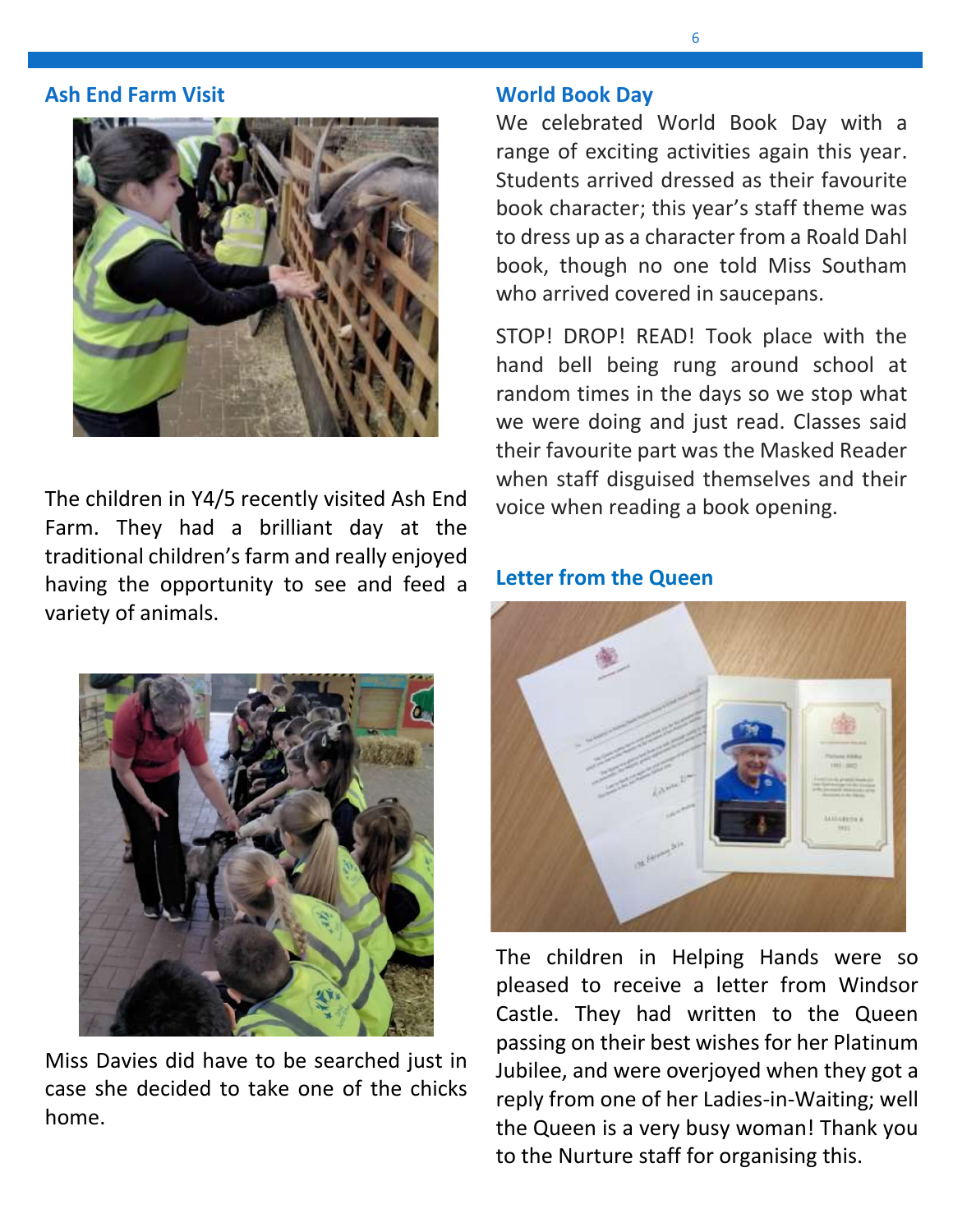#### **Ash End Farm Visit**



The children in Y4/5 recently visited Ash End Farm. They had a brilliant day at the traditional children's farm and really enjoyed having the opportunity to see and feed a variety of animals.



Miss Davies did have to be searched just in case she decided to take one of the chicks home.

#### **World Book Day**

We celebrated World Book Day with a range of exciting activities again this year. Students arrived dressed as their favourite book character; this year's staff theme was to dress up as a character from a Roald Dahl book, though no one told Miss Southam who arrived covered in saucepans.

STOP! DROP! READ! Took place with the hand bell being rung around school at random times in the days so we stop what we were doing and just read. Classes said their favourite part was the Masked Reader when staff disguised themselves and their voice when reading a book opening.

#### **Letter from the Queen**



The children in Helping Hands were so pleased to receive a letter from Windsor Castle. They had written to the Queen passing on their best wishes for her Platinum Jubilee, and were overjoyed when they got a reply from one of her Ladies-in-Waiting; well the Queen is a very busy woman! Thank you to the Nurture staff for organising this.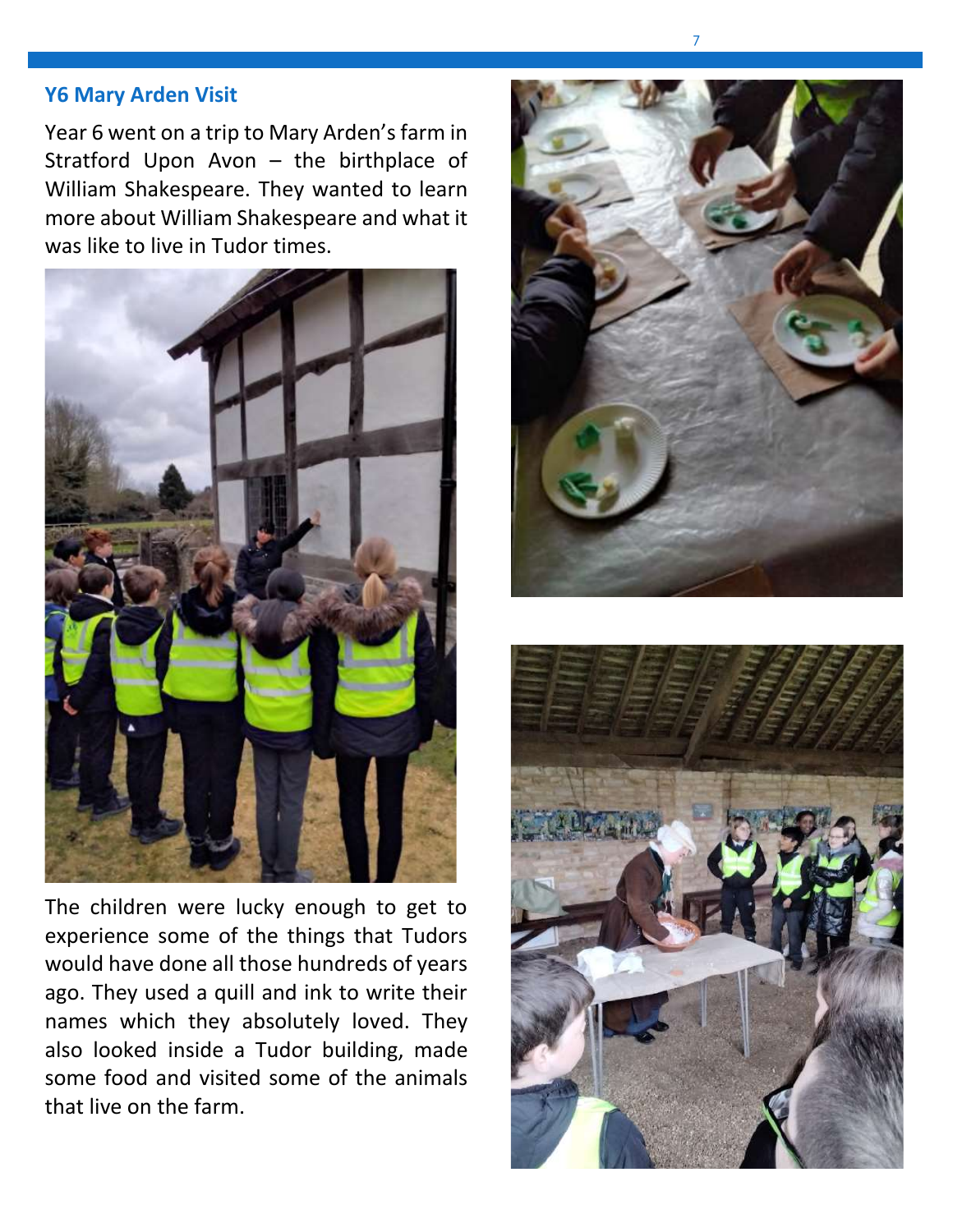### **Y6 Mary Arden Visit**

Year 6 went on a trip to Mary Arden's farm in Stratford Upon Avon – the birthplace of William Shakespeare. They wanted to learn more about William Shakespeare and what it was like to live in Tudor times.



The children were lucky enough to get to experience some of the things that Tudors would have done all those hundreds of years ago. They used a quill and ink to write their names which they absolutely loved. They also looked inside a Tudor building, made some food and visited some of the animals that live on the farm.